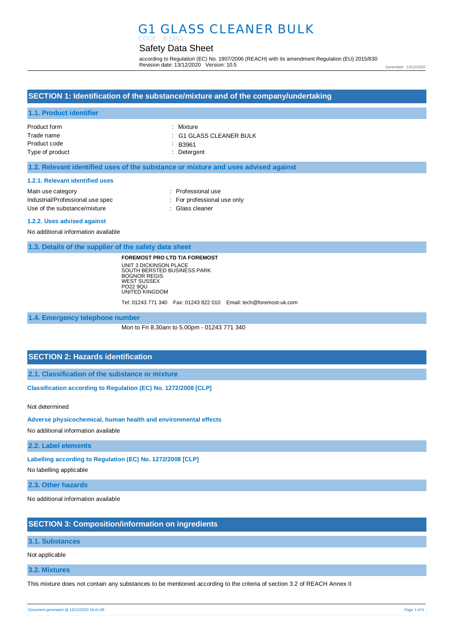## G1 GLASS CLEANER BULK CODE : B3961

## Safety Data Sheet

according to Regulation (EC) No. 1907/2006 (REACH) with its amendment Regulation (EU) 2015/830 Revision date: 13/12/2020 Version: 10.5

#### Generated : 13/12/2020

## **SECTION 1: Identification of the substance/mixture and of the company/undertaking**

## **1.1. Product identifier**

| Product form    | : Mixture                          |
|-----------------|------------------------------------|
| Trade name      | $\therefore$ G1 GLASS CLEANER BULK |
| Product code    | $\therefore$ B3961                 |
| Type of product | : Detergent                        |

## **1.2. Relevant identified uses of the substance or mixture and uses advised against**

#### **1.2.1. Relevant identified uses**

| Main use category                | : Professional use          |
|----------------------------------|-----------------------------|
| Industrial/Professional use spec | : For professional use only |
| Use of the substance/mixture     | : Glass cleaner             |

#### **1.2.2. Uses advised against**

No additional information available

**1.3. Details of the supplier of the safety data sheet**

**FOREMOST PRO LTD T/A FOREMOST** UNIT 3 DICKINSON PLACE SOUTH BERSTED BUSINESS PARK BOGNOR REGIS WEST SUSSEX PO22 9QU UNITED KINGDOM

Tel: 01243 771 340 Fax: 01243 822 010 Email: tech@foremost-uk.com

**1.4. Emergency telephone number**

Mon to Fri 8.30am to 5.00pm - 01243 771 340

## **SECTION 2: Hazards identification**

**2.1. Classification of the substance or mixture**

**Classification according to Regulation (EC) No. 1272/2008 [CLP]** 

Not determined

**Adverse physicochemical, human health and environmental effects** 

No additional information available

**2.2. Label elements**

**Labelling according to Regulation (EC) No. 1272/2008 [CLP]** 

No labelling applicable

**2.3. Other hazards**

No additional information available

## **SECTION 3: Composition/information on ingredients**

#### **3.1. Substances**

Not applicable

**3.2. Mixtures**

This mixture does not contain any substances to be mentioned according to the criteria of section 3.2 of REACH Annex II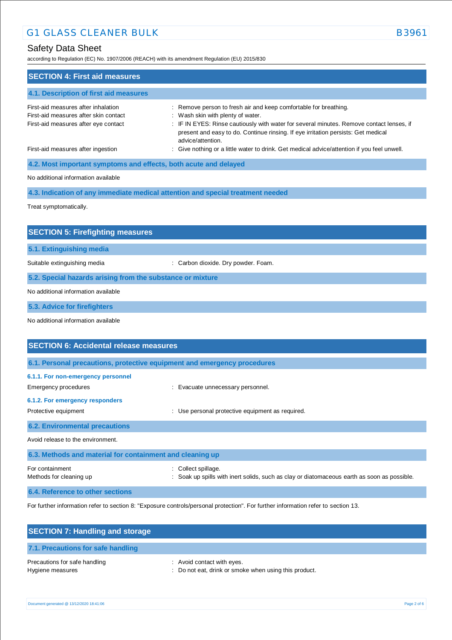## Safety Data Sheet

according to Regulation (EC) No. 1907/2006 (REACH) with its amendment Regulation (EU) 2015/830

| <b>SECTION 4: First aid measures</b>                                                                                 |                                                                                                                                                                                                                                                                                                             |  |  |
|----------------------------------------------------------------------------------------------------------------------|-------------------------------------------------------------------------------------------------------------------------------------------------------------------------------------------------------------------------------------------------------------------------------------------------------------|--|--|
| 4.1. Description of first aid measures                                                                               |                                                                                                                                                                                                                                                                                                             |  |  |
| First-aid measures after inhalation<br>First-aid measures after skin contact<br>First-aid measures after eye contact | : Remove person to fresh air and keep comfortable for breathing.<br>: Wash skin with plenty of water.<br>: IF IN EYES: Rinse cautiously with water for several minutes. Remove contact lenses, if<br>present and easy to do. Continue rinsing. If eye irritation persists: Get medical<br>advice/attention. |  |  |
| First-aid measures after ingestion                                                                                   | : Give nothing or a little water to drink. Get medical advice/attention if you feel unwell.                                                                                                                                                                                                                 |  |  |
| 4.2. Most important symptoms and effects, both acute and delayed                                                     |                                                                                                                                                                                                                                                                                                             |  |  |
| No additional information available                                                                                  |                                                                                                                                                                                                                                                                                                             |  |  |
|                                                                                                                      | 4.3. Indication of any immediate medical attention and special treatment needed                                                                                                                                                                                                                             |  |  |
| Treat symptomatically.                                                                                               |                                                                                                                                                                                                                                                                                                             |  |  |
|                                                                                                                      |                                                                                                                                                                                                                                                                                                             |  |  |
| <b>SECTION 5: Firefighting measures</b>                                                                              |                                                                                                                                                                                                                                                                                                             |  |  |
| 5.1. Extinguishing media                                                                                             |                                                                                                                                                                                                                                                                                                             |  |  |
| Suitable extinguishing media                                                                                         | : Carbon dioxide. Dry powder. Foam.                                                                                                                                                                                                                                                                         |  |  |
| 5.2. Special hazards arising from the substance or mixture                                                           |                                                                                                                                                                                                                                                                                                             |  |  |
| No additional information available                                                                                  |                                                                                                                                                                                                                                                                                                             |  |  |
| 5.3. Advice for firefighters                                                                                         |                                                                                                                                                                                                                                                                                                             |  |  |
| No additional information available                                                                                  |                                                                                                                                                                                                                                                                                                             |  |  |
|                                                                                                                      |                                                                                                                                                                                                                                                                                                             |  |  |
| <b>SECTION 6: Accidental release measures</b>                                                                        |                                                                                                                                                                                                                                                                                                             |  |  |
|                                                                                                                      | 6.1. Personal precautions, protective equipment and emergency procedures                                                                                                                                                                                                                                    |  |  |
| 6.1.1. For non-emergency personnel<br>Emergency procedures                                                           | : Evacuate unnecessary personnel.                                                                                                                                                                                                                                                                           |  |  |
| 6.1.2. For emergency responders                                                                                      |                                                                                                                                                                                                                                                                                                             |  |  |

Protective equipment **interval and the COV** MUSE of Use personal protective equipment as required. **6.2. Environmental precautions** Avoid release to the environment. **6.3. Methods and material for containment and cleaning up** For containment  $\qquad \qquad :$  Collect spillage.

Methods for cleaning up **interpret in the spills with inert solids**, such as clay or diatomaceous earth as soon as possible.

**6.4. Reference to other sections**

For further information refer to section 8: "Exposure controls/personal protection". For further information refer to section 13.

| <b>SECTION 7: Handling and storage</b>            |                                                                                     |
|---------------------------------------------------|-------------------------------------------------------------------------------------|
| 7.1. Precautions for safe handling                |                                                                                     |
| Precautions for safe handling<br>Hygiene measures | : Avoid contact with eyes.<br>: Do not eat, drink or smoke when using this product. |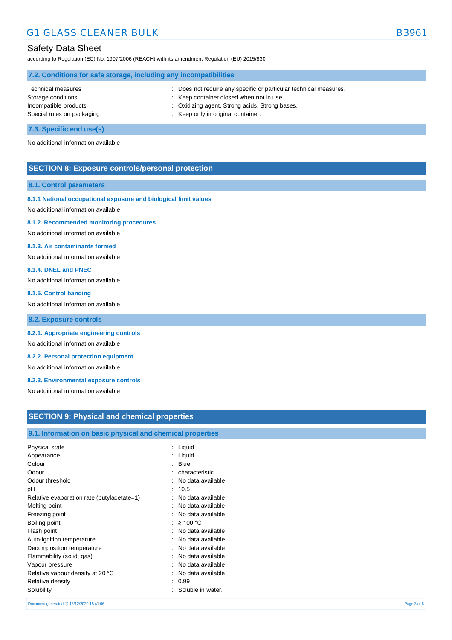# G1 GLASS CLEANER BULK B3961

## Safety Data Sheet

according to Regulation (EC) No. 1907/2006 (REACH) with its amendment Regulation (EU) 2015/830

| 7.2. Conditions for safe storage, including any incompatibilities |                                                                   |  |
|-------------------------------------------------------------------|-------------------------------------------------------------------|--|
| Technical measures                                                | : Does not require any specific or particular technical measures. |  |
| Storage conditions                                                | : Keep container closed when not in use.                          |  |
| Incompatible products                                             | : Oxidizing agent. Strong acids. Strong bases.                    |  |
| Special rules on packaging                                        | : Keep only in original container.                                |  |
|                                                                   |                                                                   |  |

**7.3. Specific end use(s)**

No additional information available

## **SECTION 8: Exposure controls/personal protection**

### **8.1. Control parameters**

## **8.1.1 National occupational exposure and biological limit values**

No additional information available

#### **8.1.2. Recommended monitoring procedures**

No additional information available

## **8.1.3. Air contaminants formed**

No additional information available

### **8.1.4. DNEL and PNEC**

No additional information available

#### **8.1.5. Control banding**

No additional information available

**8.2. Exposure controls**

### **8.2.1. Appropriate engineering controls**

No additional information available

## **8.2.2. Personal protection equipment**

No additional information available

## **8.2.3. Environmental exposure controls**

No additional information available

## **SECTION 9: Physical and chemical properties**

## **9.1. Information on basic physical and chemical properties**

| Liquid            |
|-------------------|
| Liquid.           |
| Blue.             |
| characteristic.   |
| No data available |
| 10.5              |
| No data available |
| No data available |
| No data available |
| ≥ 100 °C          |
| No data available |
| No data available |
| No data available |
| No data available |
| No data available |
| No data available |
| 0.99              |
| Soluble in water. |
|                   |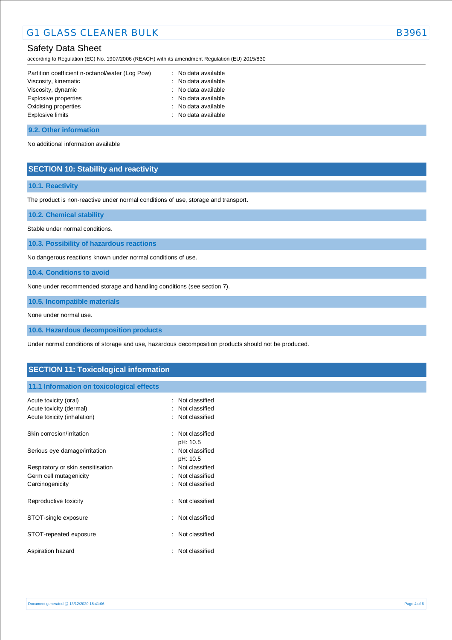# G1 GLASS CLEANER BULK B3961

## Safety Data Sheet

according to Regulation (EC) No. 1907/2006 (REACH) with its amendment Regulation (EU) 2015/830

| Partition coefficient n-octanol/water (Log Pow) | : No data available |
|-------------------------------------------------|---------------------|
| Viscosity, kinematic                            | : No data available |
| Viscosity, dynamic                              | : No data available |
| Explosive properties                            | : No data available |
| Oxidising properties                            | : No data available |
| Explosive limits                                | : No data available |
|                                                 |                     |

### **9.2. Other information**

No additional information available

## **SECTION 10: Stability and reactivity**

## **10.1. Reactivity**

The product is non-reactive under normal conditions of use, storage and transport.

**10.2. Chemical stability**

Stable under normal conditions.

**10.3. Possibility of hazardous reactions**

No dangerous reactions known under normal conditions of use.

**10.4. Conditions to avoid**

None under recommended storage and handling conditions (see section 7).

**10.5. Incompatible materials**

None under normal use.

**10.6. Hazardous decomposition products**

Under normal conditions of storage and use, hazardous decomposition products should not be produced.

## **SECTION 11: Toxicological information**

## **11.1 Information on toxicological effects**

| Acute toxicity (oral)<br>Acute toxicity (dermal)<br>Acute toxicity (inhalation) |   | : Not classified<br>: Not classified<br>: Not classified |
|---------------------------------------------------------------------------------|---|----------------------------------------------------------|
| Skin corrosion/irritation                                                       |   | $\therefore$ Not classified<br>pH: 10.5                  |
| Serious eye damage/irritation                                                   |   | : Not classified<br>pH: 10.5                             |
| Respiratory or skin sensitisation                                               | ٠ | Not classified                                           |
| Germ cell mutagenicity                                                          |   | Not classified                                           |
| Carcinogenicity                                                                 |   | : Not classified                                         |
| Reproductive toxicity                                                           |   | : Not classified                                         |
| STOT-single exposure                                                            |   | : Not classified                                         |
| STOT-repeated exposure                                                          |   | Not classified                                           |
| Aspiration hazard                                                               |   | Not classified                                           |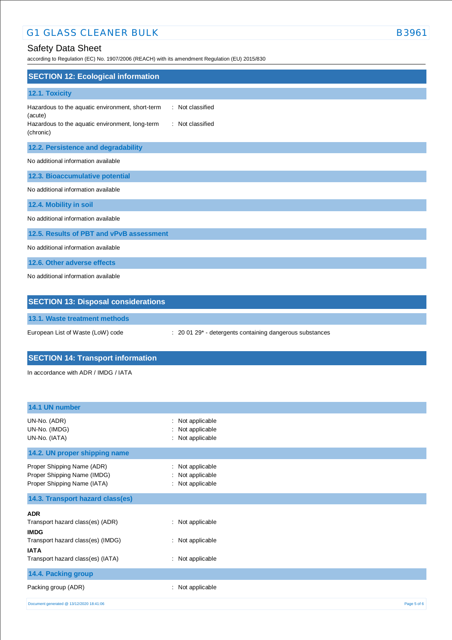# G1 GLASS CLEANER BULK B3961

# Safety Data Sheet

according to Regulation (EC) No. 1907/2006 (REACH) with its amendment Regulation (EU) 2015/830

| <b>SECTION 12: Ecological information</b>                                                                                                                           |
|---------------------------------------------------------------------------------------------------------------------------------------------------------------------|
| 12.1. Toxicity                                                                                                                                                      |
| : Not classified<br>Hazardous to the aquatic environment, short-term<br>(acute)<br>Hazardous to the aquatic environment, long-term<br>: Not classified<br>(chronic) |
| 12.2. Persistence and degradability                                                                                                                                 |
| No additional information available                                                                                                                                 |
| 12.3. Bioaccumulative potential                                                                                                                                     |
| No additional information available                                                                                                                                 |
| 12.4. Mobility in soil                                                                                                                                              |
| No additional information available                                                                                                                                 |
| 12.5. Results of PBT and vPvB assessment                                                                                                                            |
| No additional information available                                                                                                                                 |
| 12.6. Other adverse effects                                                                                                                                         |
| No additional information available                                                                                                                                 |
| <b>SECTION 13: Disposal considerations</b>                                                                                                                          |

**13.1. Waste treatment methods**

European List of Waste (LoW) code : 20 01 29\* - detergents containing dangerous substances

# **SECTION 14: Transport information**

In accordance with ADR / IMDG / IATA

| 14.1 UN number                                                                           |                                                              |             |
|------------------------------------------------------------------------------------------|--------------------------------------------------------------|-------------|
| UN-No. (ADR)<br>UN-No. (IMDG)<br>UN-No. (IATA)                                           | Not applicable<br>÷<br>Not applicable<br>Not applicable<br>÷ |             |
| 14.2. UN proper shipping name                                                            |                                                              |             |
| Proper Shipping Name (ADR)<br>Proper Shipping Name (IMDG)<br>Proper Shipping Name (IATA) | : Not applicable<br>: Not applicable<br>: Not applicable     |             |
| 14.3. Transport hazard class(es)                                                         |                                                              |             |
| <b>ADR</b>                                                                               |                                                              |             |
| Transport hazard class(es) (ADR)<br><b>IMDG</b>                                          | : Not applicable                                             |             |
| Transport hazard class(es) (IMDG)<br><b>IATA</b>                                         | : Not applicable                                             |             |
| Transport hazard class(es) (IATA)                                                        | : Not applicable                                             |             |
| 14.4. Packing group                                                                      |                                                              |             |
| Packing group (ADR)                                                                      | Not applicable<br>÷                                          |             |
| Document generated @ 13/12/2020 18:41:06                                                 |                                                              | Page 5 of 6 |